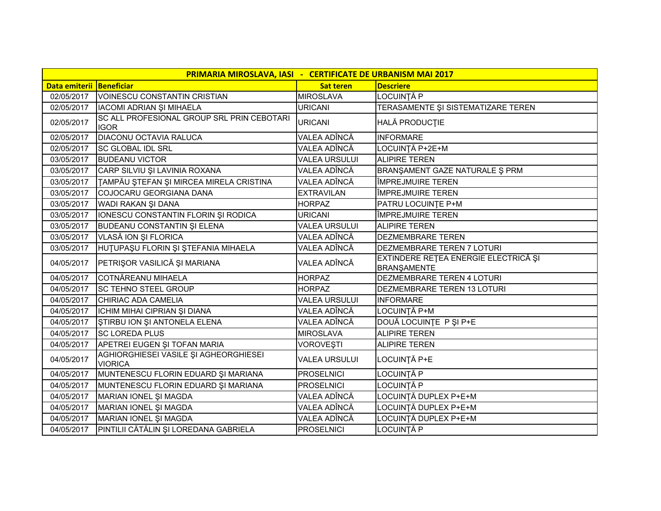| PRIMARIA MIROSLAVA, IASI - CERTIFICATE DE URBANISM MAI 2017 |                                                           |                      |                                                            |  |
|-------------------------------------------------------------|-----------------------------------------------------------|----------------------|------------------------------------------------------------|--|
| Data emiterii Beneficiar                                    |                                                           | <b>Sat teren</b>     | <b>Descriere</b>                                           |  |
| 02/05/2017                                                  | <b>VOINESCU CONSTANTIN CRISTIAN</b>                       | <b>MIROSLAVA</b>     | LOCUINȚĂ P                                                 |  |
| 02/05/2017                                                  | IACOMI ADRIAN ȘI MIHAELA                                  | <b>URICANI</b>       | TERASAMENTE ȘI SISTEMATIZARE TEREN                         |  |
| 02/05/2017                                                  | SC ALL PROFESIONAL GROUP SRL PRIN CEBOTARI<br><b>IGOR</b> | <b>URICANI</b>       | HALĂ PRODUCȚIE                                             |  |
| 02/05/2017                                                  | DIACONU OCTAVIA RALUCA                                    | VALEA ADÎNCĂ         | <b>INFORMARE</b>                                           |  |
| 02/05/2017                                                  | <b>SC GLOBAL IDL SRL</b>                                  | VALEA ADÎNCĂ         | LOCUINȚĂ P+2E+M                                            |  |
| 03/05/2017                                                  | <b>BUDEANU VICTOR</b>                                     | <b>VALEA URSULUI</b> | <b>ALIPIRE TEREN</b>                                       |  |
| 03/05/2017                                                  | CARP SILVIU ȘI LAVINIA ROXANA                             | VALEA ADÎNCĂ         | BRANŞAMENT GAZE NATURALE Ş PRM                             |  |
| 03/05/2017                                                  | TAMPĂU ȘTEFAN ȘI MIRCEA MIRELA CRISTINA                   | VALEA ADÎNCĂ         | ÎMPREJMUIRE TEREN                                          |  |
| 03/05/2017                                                  | COJOCARU GEORGIANA DANA                                   | <b>EXTRAVILAN</b>    | ÎMPREJMUIRE TEREN                                          |  |
| 03/05/2017                                                  | WADI RAKAN ŞI DANA                                        | <b>HORPAZ</b>        | PATRU LOCUINTE P+M                                         |  |
| 03/05/2017                                                  | IONESCU CONSTANTIN FLORIN ȘI RODICA                       | <b>URICANI</b>       | ÎMPREJMUIRE TEREN                                          |  |
| 03/05/2017                                                  | BUDEANU CONSTANTIN ȘI ELENA                               | <b>VALEA URSULUI</b> | <b>ALIPIRE TEREN</b>                                       |  |
| 03/05/2017                                                  | VLASĂ ION ȘI FLORICA                                      | VALEA ADÎNCĂ         | <b>DEZMEMBRARE TEREN</b>                                   |  |
| 03/05/2017                                                  | HUTUPAŞU FLORIN ŞI ŞTEFANIA MIHAELA                       | VALEA ADÎNCĂ         | DEZMEMBRARE TEREN 7 LOTURI                                 |  |
| 04/05/2017                                                  | PETRIŞOR VASILICĂ ȘI MARIANA                              | VALEA ADÎNCĂ         | EXTINDERE REȚEA ENERGIE ELECTRICĂ ȘI<br><b>BRANŞAMENTE</b> |  |
| 04/05/2017                                                  | COTNĂREANU MIHAELA                                        | <b>HORPAZ</b>        | DEZMEMBRARE TEREN 4 LOTURI                                 |  |
| 04/05/2017                                                  | <b>SC TEHNO STEEL GROUP</b>                               | <b>HORPAZ</b>        | DEZMEMBRARE TEREN 13 LOTURI                                |  |
| 04/05/2017                                                  | CHIRIAC ADA CAMELIA                                       | <b>VALEA URSULUI</b> | <b>INFORMARE</b>                                           |  |
| 04/05/2017                                                  | ICHIM MIHAI CIPRIAN ȘI DIANA                              | VALEA ADÎNCĂ         | LOCUINȚĂ P+M                                               |  |
| 04/05/2017                                                  | STIRBU ION ȘI ANTONELA ELENA                              | VALEA ADÎNCĂ         | DOUĂ LOCUINȚE P ȘI P+E                                     |  |
| 04/05/2017                                                  | <b>SC LOREDA PLUS</b>                                     | <b>MIROSLAVA</b>     | <b>ALIPIRE TEREN</b>                                       |  |
| 04/05/2017                                                  | APETREI EUGEN ȘI TOFAN MARIA                              | <b>VOROVESTI</b>     | <b>ALIPIRE TEREN</b>                                       |  |
| 04/05/2017                                                  | AGHIORGHIESEI VASILE ȘI AGHEORGHIESEI<br><b>VIORICA</b>   | <b>VALEA URSULUI</b> | LOCUINȚĂ P+E                                               |  |
| 04/05/2017                                                  | MUNTENESCU FLORIN EDUARD ȘI MARIANA                       | PROSELNICI           | LOCUINȚĂ P                                                 |  |
| 04/05/2017                                                  | MUNTENESCU FLORIN EDUARD ȘI MARIANA                       | <b>PROSELNICI</b>    | LOCUINȚĂ P                                                 |  |
| 04/05/2017                                                  | MARIAN IONEL ȘI MAGDA                                     | VALEA ADÎNCĂ         | LOCUINȚĂ DUPLEX P+E+M                                      |  |
| 04/05/2017                                                  | MARIAN IONEL ȘI MAGDA                                     | VALEA ADÎNCĂ         | LOCUINȚĂ DUPLEX P+E+M                                      |  |
| 04/05/2017                                                  | MARIAN IONEL ȘI MAGDA                                     | VALEA ADÎNCĂ         | LOCUINȚĂ DUPLEX P+E+M                                      |  |
| 04/05/2017                                                  | PINTILII CĂTĂLIN ȘI LOREDANA GABRIELA                     | PROSELNICI           | LOCUINȚĂ P                                                 |  |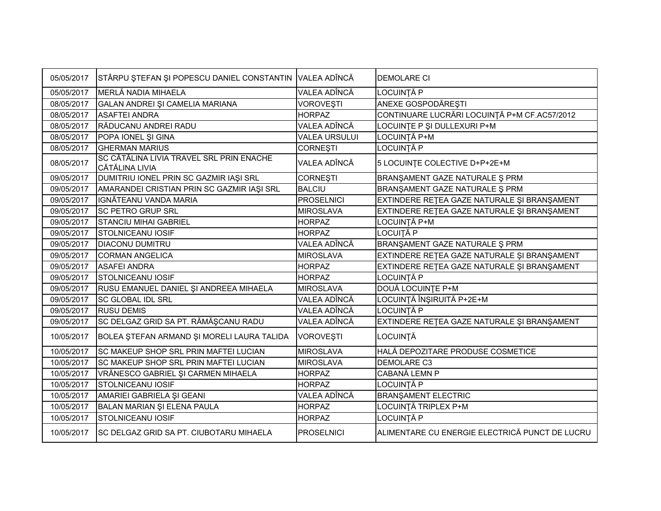| 05/05/2017 | STÂRPU ȘTEFAN ȘI POPESCU DANIEL CONSTANTIN VALEA ADÎNCĂ           |                      | <b>DEMOLARE CI</b>                             |
|------------|-------------------------------------------------------------------|----------------------|------------------------------------------------|
| 05/05/2017 | MERLĂ NADIA MIHAELA                                               | VALEA ADÎNCĂ         | LOCUINȚĂ P                                     |
| 08/05/2017 | GALAN ANDREI ȘI CAMELIA MARIANA                                   | <b>VOROVESTI</b>     | ANEXE GOSPODĂREȘTI                             |
| 08/05/2017 | <b>ASAFTEI ANDRA</b>                                              | <b>HORPAZ</b>        | CONTINUARE LUCRĂRI LOCUINȚĂ P+M CF.AC57/2012   |
| 08/05/2017 | RĂDUCANU ANDREI RADU                                              | VALEA ADÎNCĂ         | LOCUINTE P ȘI DULLEXURI P+M                    |
| 08/05/2017 | POPA IONEL ȘI GINA                                                | <b>VALEA URSULUI</b> | LOCUINȚĂ P+M                                   |
| 08/05/2017 | <b>GHERMAN MARIUS</b>                                             | <b>CORNEȘTI</b>      | LOCUINȚĂ P                                     |
| 08/05/2017 | SC CĂTĂLINA LIVIA TRAVEL SRL PRIN ENACHE<br><b>CĂTĂLINA LIVIA</b> | VALEA ADÎNCĂ         | 5 LOCUINTE COLECTIVE D+P+2E+M                  |
| 09/05/2017 | DUMITRIU IONEL PRIN SC GAZMIR IAȘI SRL                            | <b>CORNEȘTI</b>      | BRANŞAMENT GAZE NATURALE Ş PRM                 |
| 09/05/2017 | AMARANDEI CRISTIAN PRIN SC GAZMIR IAȘI SRL                        | <b>BALCIU</b>        | BRANŞAMENT GAZE NATURALE Ş PRM                 |
| 09/05/2017 | <b>IGNĂTEANU VANDA MARIA</b>                                      | <b>PROSELNICI</b>    | EXTINDERE RETEA GAZE NATURALE ȘI BRANȘAMENT    |
| 09/05/2017 | <b>SC PETRO GRUP SRL</b>                                          | <b>MIROSLAVA</b>     | EXTINDERE REȚEA GAZE NATURALE ȘI BRANȘAMENT    |
| 09/05/2017 | <b>STANCIU MIHAI GABRIEL</b>                                      | <b>HORPAZ</b>        | LOCUINȚĂ P+M                                   |
| 09/05/2017 | <b>STOLNICEANU IOSIF</b>                                          | <b>HORPAZ</b>        | LOCUITĂ P                                      |
| 09/05/2017 | <b>DIACONU DUMITRU</b>                                            | VALEA ADÎNCĂ         | BRANŞAMENT GAZE NATURALE Ş PRM                 |
| 09/05/2017 | <b>CORMAN ANGELICA</b>                                            | <b>MIROSLAVA</b>     | EXTINDERE RETEA GAZE NATURALE ȘI BRANȘAMENT    |
| 09/05/2017 | <b>ASAFEI ANDRA</b>                                               | <b>HORPAZ</b>        | EXTINDERE REȚEA GAZE NATURALE ȘI BRANȘAMENT    |
| 09/05/2017 | <b>STOLNICEANU IOSIF</b>                                          | <b>HORPAZ</b>        | LOCUINȚĂ P                                     |
| 09/05/2017 | RUSU EMANUEL DANIEL ȘI ANDREEA MIHAELA                            | <b>MIROSLAVA</b>     | DOUĂ LOCUINȚE P+M                              |
| 09/05/2017 | <b>SC GLOBAL IDL SRL</b>                                          | VALEA ADÎNCĂ         | LOCUINȚĂ ÎNȘIRUITĂ P+2E+M                      |
| 09/05/2017 | <b>RUSU DEMIS</b>                                                 | VALEA ADÎNCĂ         | LOCUINȚĂ P                                     |
| 09/05/2017 | SC DELGAZ GRID SA PT. RĂMĂȘCANU RADU                              | VALEA ADÎNCĂ         | EXTINDERE REȚEA GAZE NATURALE ȘI BRANȘAMENT    |
| 10/05/2017 | BOLEA ŞTEFAN ARMAND ŞI MORELI LAURA TALIDA                        | <b>VOROVEȘTI</b>     | LOCUINȚĂ                                       |
| 10/05/2017 | SC MAKEUP SHOP SRL PRIN MAFTEI LUCIAN                             | <b>MIROSLAVA</b>     | HALĂ DEPOZITARE PRODUSE COSMETICE              |
| 10/05/2017 | SC MAKEUP SHOP SRL PRIN MAFTEI LUCIAN                             | <b>MIROSLAVA</b>     | <b>DEMOLARE C3</b>                             |
| 10/05/2017 | VRĂNESCO GABRIEL ȘI CARMEN MIHAELA                                | <b>HORPAZ</b>        | CABANĂ LEMN P                                  |
| 10/05/2017 | <b>STOLNICEANU IOSIF</b>                                          | <b>HORPAZ</b>        | LOCUINȚĂ P                                     |
| 10/05/2017 | AMARIEI GABRIELA ȘI GEANI                                         | VALEA ADÎNCĂ         | <b>BRANŞAMENT ELECTRIC</b>                     |
| 10/05/2017 | BALAN MARIAN ȘI ELENA PAULA                                       | <b>HORPAZ</b>        | LOCUINȚĂ TRIPLEX P+M                           |
| 10/05/2017 | <b>STOLNICEANU IOSIF</b>                                          | <b>HORPAZ</b>        | LOCUINȚĂ P                                     |
| 10/05/2017 | <b>ISC DELGAZ GRID SA PT. CIUBOTARU MIHAELA</b>                   | <b>PROSELNICI</b>    | ALIMENTARE CU ENERGIE ELECTRICĂ PUNCT DE LUCRU |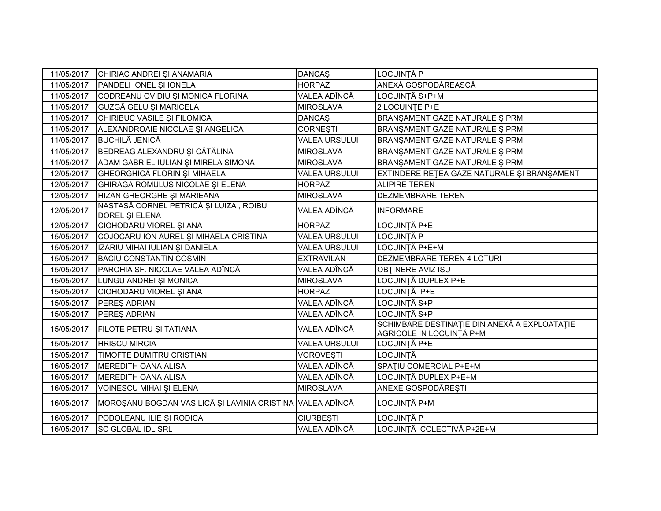| 11/05/2017 | CHIRIAC ANDREI ȘI ANAMARIA                                | <b>DANCAŞ</b>        | LOCUINȚĂ P                                                               |
|------------|-----------------------------------------------------------|----------------------|--------------------------------------------------------------------------|
| 11/05/2017 | PANDELI IONEL ȘI IONELA                                   | <b>HORPAZ</b>        | ANEXĂ GOSPODĂREASCĂ                                                      |
| 11/05/2017 | CODREANU OVIDIU ȘI MONICA FLORINA                         | VALEA ADÎNCĂ         | LOCUINȚĂ S+P+M                                                           |
| 11/05/2017 | GUZGĂ GELU ȘI MARICELA                                    | <b>MIROSLAVA</b>     | 2 LOCUINTE P+E                                                           |
| 11/05/2017 | CHIRIBUC VASILE ȘI FILOMICA                               | <b>DANCAŞ</b>        | BRANŞAMENT GAZE NATURALE Ş PRM                                           |
| 11/05/2017 | ALEXANDROAIE NICOLAE ȘI ANGELICA                          | <b>CORNEȘTI</b>      | BRANŞAMENT GAZE NATURALE Ş PRM                                           |
| 11/05/2017 | <b>BUCHILĂ JENICĂ</b>                                     | <b>VALEA URSULUI</b> | BRANŞAMENT GAZE NATURALE Ş PRM                                           |
| 11/05/2017 | BEDREAG ALEXANDRU ȘI CĂTĂLINA                             | <b>MIROSLAVA</b>     | BRANŞAMENT GAZE NATURALE Ş PRM                                           |
| 11/05/2017 | ADAM GABRIEL IULIAN ȘI MIRELA SIMONA                      | <b>MIROSLAVA</b>     | BRANŞAMENT GAZE NATURALE Ş PRM                                           |
| 12/05/2017 | <b>GHEORGHICĂ FLORIN ȘI MIHAELA</b>                       | <b>VALEA URSULUI</b> | EXTINDERE RETEA GAZE NATURALE ȘI BRANȘAMENT                              |
| 12/05/2017 | <b>GHIRAGA ROMULUS NICOLAE ȘI ELENA</b>                   | <b>HORPAZ</b>        | <b>ALIPIRE TEREN</b>                                                     |
| 12/05/2017 | HIZAN GHEORGHE ȘI MARIEANA                                | <b>MIROSLAVA</b>     | DEZMEMBRARE TEREN                                                        |
| 12/05/2017 | NASTASĂ CORNEL PETRICĂ ȘI LUIZA, ROIBU<br>DOREL ȘI ELENA  | VALEA ADÎNCĂ         | <b>INFORMARE</b>                                                         |
| 12/05/2017 | CIOHODARU VIOREL ȘI ANA                                   | <b>HORPAZ</b>        | LOCUINȚĂ P+E                                                             |
| 15/05/2017 | COJOCARU ION AUREL ȘI MIHAELA CRISTINA                    | <b>VALEA URSULUI</b> | LOCUINȚĂ P                                                               |
| 15/05/2017 | IZARIU MIHAI IULIAN ȘI DANIELA                            | <b>VALEA URSULUI</b> | LOCUINȚĂ P+E+M                                                           |
| 15/05/2017 | <b>BACIU CONSTANTIN COSMIN</b>                            | <b>EXTRAVILAN</b>    | DEZMEMBRARE TEREN 4 LOTURI                                               |
| 15/05/2017 | PAROHIA SF. NICOLAE VALEA ADÎNCĂ                          | VALEA ADÎNCĂ         | <b>OBTINERE AVIZ ISU</b>                                                 |
| 15/05/2017 | LUNGU ANDREI ȘI MONICA                                    | <b>MIROSLAVA</b>     | LOCUINȚĂ DUPLEX P+E                                                      |
| 15/05/2017 | CIOHODARU VIOREL ȘI ANA                                   | <b>HORPAZ</b>        | LOCUINȚĂ P+E                                                             |
| 15/05/2017 | PEREŞ ADRIAN                                              | VALEA ADÎNCĂ         | LOCUINȚĂ S+P                                                             |
| 15/05/2017 | PEREŞ ADRIAN                                              | VALEA ADÎNCĂ         | LOCUINTĂ S+P                                                             |
| 15/05/2017 | FILOTE PETRU ȘI TATIANA                                   | VALEA ADÎNCĂ         | SCHIMBARE DESTINAȚIE DIN ANEXĂ A EXPLOATAȚIE<br>AGRICOLE ÎN LOCUINȚĂ P+M |
| 15/05/2017 | <b>HRISCU MIRCIA</b>                                      | <b>VALEA URSULUI</b> | LOCUINȚĂ P+E                                                             |
| 15/05/2017 | TIMOFTE DUMITRU CRISTIAN                                  | <b>VOROVEȘTI</b>     | LOCUINTĂ                                                                 |
| 16/05/2017 | <b>MEREDITH OANA ALISA</b>                                | VALEA ADÎNCĂ         | SPATIU COMERCIAL P+E+M                                                   |
| 16/05/2017 | <b>MEREDITH OANA ALISA</b>                                | VALEA ADÎNCĂ         | LOCUINȚĂ DUPLEX P+E+M                                                    |
| 16/05/2017 | VOINESCU MIHAI ȘI ELENA                                   | <b>MIROSLAVA</b>     | ANEXE GOSPODĂREȘTI                                                       |
| 16/05/2017 | MOROȘANU BOGDAN VASILICĂ ȘI LAVINIA CRISTINA VALEA ADÎNCĂ |                      | LOCUINȚĂ P+M                                                             |
| 16/05/2017 | PODOLEANU ILIE ȘI RODICA                                  | <b>CIURBEȘTI</b>     | LOCUINȚĂ P                                                               |
| 16/05/2017 | <b>SC GLOBAL IDL SRL</b>                                  | VALEA ADÎNCĂ         | LOCUINȚĂ COLECTIVĂ P+2E+M                                                |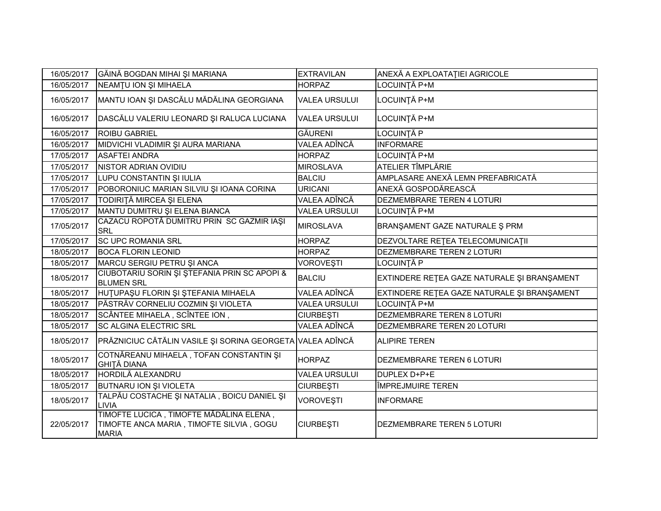| 16/05/2017 | GĂINĂ BOGDAN MIHAI ȘI MARIANA                                                                       | <b>EXTRAVILAN</b>    | ANEXĂ A EXPLOATAȚIEI AGRICOLE               |
|------------|-----------------------------------------------------------------------------------------------------|----------------------|---------------------------------------------|
| 16/05/2017 | NEAMTU ION ȘI MIHAELA                                                                               | <b>HORPAZ</b>        | LOCUINȚĂ P+M                                |
| 16/05/2017 | MANTU IOAN ȘI DASCĂLU MĂDĂLINA GEORGIANA                                                            | <b>VALEA URSULUI</b> | LOCUINȚĂ P+M                                |
| 16/05/2017 | DASCĂLU VALERIU LEONARD ȘI RALUCA LUCIANA                                                           | <b>VALEA URSULUI</b> | LOCUINȚĂ P+M                                |
| 16/05/2017 | <b>ROIBU GABRIEL</b>                                                                                | <b>GĂURENI</b>       | LOCUINȚĂ P                                  |
| 16/05/2017 | MIDVICHI VLADIMIR ŞI AURA MARIANA                                                                   | VALEA ADÎNCĂ         | <b>INFORMARE</b>                            |
| 17/05/2017 | <b>ASAFTEI ANDRA</b>                                                                                | <b>HORPAZ</b>        | LOCUINȚĂ P+M                                |
| 17/05/2017 | <b>NISTOR ADRIAN OVIDIU</b>                                                                         | <b>MIROSLAVA</b>     | <b>ATELIER TÎMPLĂRIE</b>                    |
| 17/05/2017 | LUPU CONSTANTIN ȘI IULIA                                                                            | <b>BALCIU</b>        | AMPLASARE ANEXĂ LEMN PREFABRICATĂ           |
| 17/05/2017 | POBORONIUC MARIAN SILVIU ȘI IOANA CORINA                                                            | <b>URICANI</b>       | ANEXĂ GOSPODĂREASCĂ                         |
| 17/05/2017 | TODIRIȚĂ MIRCEA ȘI ELENA                                                                            | VALEA ADÎNCĂ         | <b>DEZMEMBRARE TEREN 4 LOTURI</b>           |
| 17/05/2017 | MANTU DUMITRU ȘI ELENA BIANCA                                                                       | <b>VALEA URSULUI</b> | LOCUINȚĂ P+M                                |
| 17/05/2017 | CAZACU ROPOTĂ DUMITRU PRIN SC GAZMIR IAȘI<br>SRL                                                    | <b>MIROSLAVA</b>     | BRANŞAMENT GAZE NATURALE Ş PRM              |
| 17/05/2017 | <b>SC UPC ROMANIA SRL</b>                                                                           | <b>HORPAZ</b>        | DEZVOLTARE RETEA TELECOMUNICATII            |
| 18/05/2017 | <b>BOCA FLORIN LEONID</b>                                                                           | <b>HORPAZ</b>        | DEZMEMBRARE TEREN 2 LOTURI                  |
| 18/05/2017 | MARCU SERGIU PETRU ȘI ANCA                                                                          | <b>VOROVEȘTI</b>     | LOCUINȚĂ P                                  |
| 18/05/2017 | CIUBOTARIU SORIN ȘI ȘTEFANIA PRIN SC APOPI &<br><b>BLUMEN SRL</b>                                   | <b>BALCIU</b>        | EXTINDERE RETEA GAZE NATURALE ȘI BRANȘAMENT |
| 18/05/2017 | HUTUPAȘU FLORIN ȘI ȘTEFANIA MIHAELA                                                                 | VALEA ADÎNCĂ         | EXTINDERE RETEA GAZE NATURALE ȘI BRANȘAMENT |
| 18/05/2017 | PĂSTRĂV CORNELIU COZMIN ȘI VIOLETA                                                                  | <b>VALEA URSULUI</b> | LOCUINȚĂ P+M                                |
| 18/05/2017 | SCÂNTEE MIHAELA, SCÎNTEE ION,                                                                       | <b>CIURBEȘTI</b>     | <b>DEZMEMBRARE TEREN 8 LOTURI</b>           |
| 18/05/2017 | <b>SC ALGINA ELECTRIC SRL</b>                                                                       | <b>VALEA ADÎNCĂ</b>  | <b>DEZMEMBRARE TEREN 20 LOTURI</b>          |
| 18/05/2017 | PRĂZNICIUC CĂTĂLIN VASILE ȘI SORINA GEORGETA VALEA ADÎNCĂ                                           |                      | <b>ALIPIRE TEREN</b>                        |
| 18/05/2017 | COTNĂREANU MIHAELA, TOFAN CONSTANTIN ȘI<br><b>GHITĂ DIANA</b>                                       | <b>HORPAZ</b>        | <b>DEZMEMBRARE TEREN 6 LOTURI</b>           |
| 18/05/2017 | HORDILĂ ALEXANDRU                                                                                   | <b>VALEA URSULUI</b> | DUPLEX D+P+E                                |
| 18/05/2017 | BUTNARU ION ȘI VIOLETA                                                                              | <b>CIURBEȘTI</b>     | <b>ÎMPREJMUIRE TEREN</b>                    |
| 18/05/2017 | TALPĂU COSTACHE ȘI NATALIA, BOICU DANIEL ȘI<br>LIVIA                                                | <b>VOROVESTI</b>     | <b>INFORMARE</b>                            |
| 22/05/2017 | TIMOFTE LUCICA, TIMOFTE MĂDĂLINA ELENA,<br>TIMOFTE ANCA MARIA, TIMOFTE SILVIA, GOGU<br><b>MARIA</b> | <b>CIURBEȘTI</b>     | <b>DEZMEMBRARE TEREN 5 LOTURI</b>           |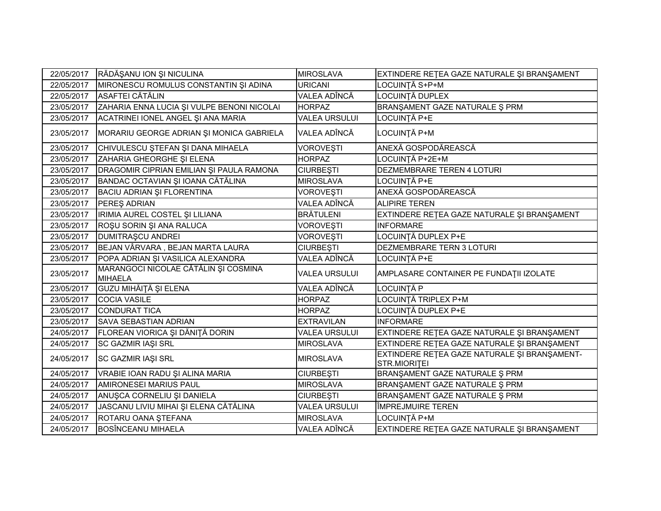| 22/05/2017 | RĂDĂȘANU ION ȘI NICULINA                               | <b>MIROSLAVA</b>     | EXTINDERE REȚEA GAZE NATURALE ȘI BRANȘAMENT                  |
|------------|--------------------------------------------------------|----------------------|--------------------------------------------------------------|
| 22/05/2017 | MIRONESCU ROMULUS CONSTANTIN ȘI ADINA                  | <b>URICANI</b>       | LOCUINȚĂ S+P+M                                               |
| 22/05/2017 | ASAFTEI CĂTĂLIN                                        | VALEA ADÎNCĂ         | LOCUINȚĂ DUPLEX                                              |
| 23/05/2017 | ZAHARIA ENNA LUCIA ȘI VULPE BENONI NICOLAI             | <b>HORPAZ</b>        | BRANŞAMENT GAZE NATURALE Ş PRM                               |
| 23/05/2017 | ACATRINEI IONEL ANGEL ȘI ANA MARIA                     | <b>VALEA URSULUI</b> | LOCUINȚĂ P+E                                                 |
| 23/05/2017 | MORARIU GEORGE ADRIAN ȘI MONICA GABRIELA               | VALEA ADÎNCĂ         | LOCUINȚĂ P+M                                                 |
| 23/05/2017 | CHIVULESCU ȘTEFAN ȘI DANA MIHAELA                      | <b>VOROVESTI</b>     | ANEXĂ GOSPODĂREASCĂ                                          |
| 23/05/2017 | ZAHARIA GHEORGHE ȘI ELENA                              | <b>HORPAZ</b>        | LOCUINȚĂ P+2E+M                                              |
| 23/05/2017 | DRAGOMIR CIPRIAN EMILIAN ȘI PAULA RAMONA               | <b>CIURBEȘTI</b>     | DEZMEMBRARE TEREN 4 LOTURI                                   |
| 23/05/2017 | BANDAC OCTAVIAN ȘI IOANA CĂTĂLINA                      | <b>MIROSLAVA</b>     | LOCUINȚĂ P+E                                                 |
| 23/05/2017 | BACIU ADRIAN ȘI FLORENTINA                             | <b>VOROVESTI</b>     | ANEXĂ GOSPODĂREASCĂ                                          |
| 23/05/2017 | <b>PEREŞ ADRIAN</b>                                    | VALEA ADÎNCĂ         | <b>ALIPIRE TEREN</b>                                         |
| 23/05/2017 | IRIMIA AUREL COSTEL ȘI LILIANA                         | <b>BRĂTULENI</b>     | EXTINDERE RETEA GAZE NATURALE ȘI BRANȘAMENT                  |
| 23/05/2017 | ROŞU SORIN ŞI ANA RALUCA                               | <b>VOROVESTI</b>     | <b>INFORMARE</b>                                             |
| 23/05/2017 | <b>DUMITRAŞCU ANDREI</b>                               | VOROVEŞTI            | LOCUINȚĂ DUPLEX P+E                                          |
| 23/05/2017 | BEJAN VÂRVARA, BEJAN MARTA LAURA                       | <b>CIURBEȘTI</b>     | <b>DEZMEMBRARE TERN 3 LOTURI</b>                             |
| 23/05/2017 | POPA ADRIAN ȘI VASILICA ALEXANDRA                      | VALEA ADÎNCĂ         | LOCUINȚĂ P+E                                                 |
| 23/05/2017 | MARANGOCI NICOLAE CĂTĂLIN ȘI COSMINA<br><b>MIHAELA</b> | <b>VALEA URSULUI</b> | AMPLASARE CONTAINER PE FUNDAȚII IZOLATE                      |
| 23/05/2017 | <b>GUZU MIHĂIȚĂ ȘI ELENA</b>                           | VALEA ADÎNCĂ         | LOCUINȚĂ P                                                   |
| 23/05/2017 | <b>COCIA VASILE</b>                                    | <b>HORPAZ</b>        | LOCUINȚĂ TRIPLEX P+M                                         |
| 23/05/2017 | <b>CONDURAT TICA</b>                                   | <b>HORPAZ</b>        | LOCUINȚĂ DUPLEX P+E                                          |
| 23/05/2017 | <b>SAVA SEBASTIAN ADRIAN</b>                           | <b>EXTRAVILAN</b>    | <b>INFORMARE</b>                                             |
| 24/05/2017 | FLOREAN VIORICA ȘI DĂNIȚĂ DORIN                        | <b>VALEA URSULUI</b> | EXTINDERE RETEA GAZE NATURALE ȘI BRANȘAMENT                  |
| 24/05/2017 | <b>SC GAZMIR IAŞI SRL</b>                              | <b>MIROSLAVA</b>     | EXTINDERE RETEA GAZE NATURALE ȘI BRANȘAMENT                  |
| 24/05/2017 | SC GAZMIR IAŞI SRL                                     | <b>MIROSLAVA</b>     | EXTINDERE RETEA GAZE NATURALE ȘI BRANȘAMENT-<br>STR.MIORITEI |
| 24/05/2017 | VRABIE IOAN RADU ȘI ALINA MARIA                        | <b>CIURBEȘTI</b>     | BRANŞAMENT GAZE NATURALE Ş PRM                               |
| 24/05/2017 | AMIRONESEI MARIUS PAUL                                 | <b>MIROSLAVA</b>     | BRANŞAMENT GAZE NATURALE Ş PRM                               |
| 24/05/2017 | ANUȘCA CORNELIU ȘI DANIELA                             | <b>CIURBEȘTI</b>     | BRANŞAMENT GAZE NATURALE Ş PRM                               |
| 24/05/2017 | JASCANU LIVIU MIHAI ȘI ELENA CĂTĂLINA                  | <b>VALEA URSULUI</b> | ÎMPREJMUIRE TEREN                                            |
| 24/05/2017 | ROTARU OANA ȘTEFANA                                    | <b>MIROSLAVA</b>     | LOCUINȚĂ P+M                                                 |
| 24/05/2017 | <b>BOSÎNCEANU MIHAELA</b>                              | <b>VALEA ADÎNCĂ</b>  | EXTINDERE RETEA GAZE NATURALE ȘI BRANȘAMENT                  |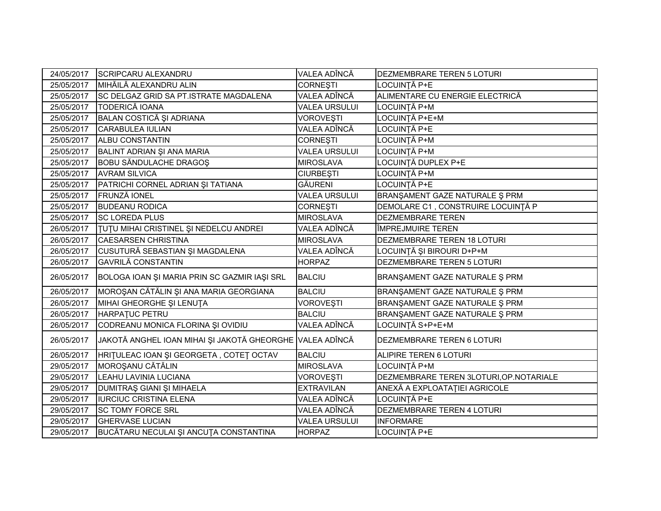| 24/05/2017 | <b>SCRIPCARU ALEXANDRU</b>                               | VALEA ADÎNCĂ         | DEZMEMBRARE TEREN 5 LOTURI               |
|------------|----------------------------------------------------------|----------------------|------------------------------------------|
| 25/05/2017 | MIHĂILĂ ALEXANDRU ALIN                                   | <b>CORNESTI</b>      | LOCUINTĂ P+E                             |
| 25/05/2017 | SC DELGAZ GRID SA PT.ISTRATE MAGDALENA                   | VALEA ADÎNCĂ         | ALIMENTARE CU ENERGIE ELECTRICĂ          |
| 25/05/2017 | <b>TODERICĂ IOANA</b>                                    | <b>VALEA URSULUI</b> | LOCUINȚĂ P+M                             |
| 25/05/2017 | BALAN COSTICĂ ȘI ADRIANA                                 | VOROVEȘTI            | LOCUINȚĂ P+E+M                           |
| 25/05/2017 | <b>CARABULEA IULIAN</b>                                  | VALEA ADÎNCĂ         | LOCUINȚĂ P+E                             |
| 25/05/2017 | <b>ALBU CONSTANTIN</b>                                   | <b>CORNESTI</b>      | LOCUINȚĂ P+M                             |
| 25/05/2017 | BALINT ADRIAN ȘI ANA MARIA                               | <b>VALEA URSULUI</b> | LOCUINȚĂ P+M                             |
| 25/05/2017 | <b>BOBU SĂNDULACHE DRAGOS</b>                            | <b>MIROSLAVA</b>     | LOCUINȚĂ DUPLEX P+E                      |
| 25/05/2017 | <b>AVRAM SILVICA</b>                                     | <b>CIURBEȘTI</b>     | LOCUINȚĂ P+M                             |
| 25/05/2017 | PATRICHI CORNEL ADRIAN ȘI TATIANA                        | <b>GĂURENI</b>       | LOCUINȚĂ P+E                             |
| 25/05/2017 | <b>FRUNZĂ IONEL</b>                                      | <b>VALEA URSULUI</b> | BRANŞAMENT GAZE NATURALE Ş PRM           |
| 25/05/2017 | <b>BUDEANU RODICA</b>                                    | <b>CORNEȘTI</b>      | DEMOLARE C1, CONSTRUIRE LOCUINȚĂ P       |
| 25/05/2017 | <b>SC LOREDA PLUS</b>                                    | <b>MIROSLAVA</b>     | DEZMEMBRARE TEREN                        |
| 26/05/2017 | TUTU MIHAI CRISTINEL ȘI NEDELCU ANDREI                   | VALEA ADÎNCĂ         | ÎMPREJMUIRE TEREN                        |
| 26/05/2017 | <b>CAESARSEN CHRISTINA</b>                               | <b>MIROSLAVA</b>     | DEZMEMBRARE TEREN 18 LOTURI              |
| 26/05/2017 | CUSUTURĂ SEBASTIAN ȘI MAGDALENA                          | VALEA ADÎNCĂ         | LOCUINȚĂ ȘI BIROURI D+P+M                |
| 26/05/2017 | <b>GAVRILĂ CONSTANTIN</b>                                | <b>HORPAZ</b>        | DEZMEMBRARE TEREN 5 LOTURI               |
| 26/05/2017 | BOLOGA IOAN ȘI MARIA PRIN SC GAZMIR IAȘI SRL             | <b>BALCIU</b>        | BRANŞAMENT GAZE NATURALE Ş PRM           |
| 26/05/2017 | MOROȘAN CĂTĂLIN ȘI ANA MARIA GEORGIANA                   | <b>BALCIU</b>        | BRANŞAMENT GAZE NATURALE Ş PRM           |
| 26/05/2017 | MIHAI GHEORGHE ȘI LENUȚA                                 | <b>VOROVEŞTI</b>     | BRANŞAMENT GAZE NATURALE Ş PRM           |
| 26/05/2017 | HARPATUC PETRU                                           | <b>BALCIU</b>        | BRANŞAMENT GAZE NATURALE Ş PRM           |
| 26/05/2017 | CODREANU MONICA FLORINA ȘI OVIDIU                        | VALEA ADÎNCĂ         | LOCUINȚĂ S+P+E+M                         |
| 26/05/2017 | JAKOTĂ ANGHEL IOAN MIHAI ȘI JAKOTĂ GHEORGHE VALEA ADÎNCĂ |                      | DEZMEMBRARE TEREN 6 LOTURI               |
| 26/05/2017 | HRITULEAC IOAN ȘI GEORGETA, COTEȚ OCTAV                  | <b>BALCIU</b>        | ALIPIRE TEREN 6 LOTURI                   |
| 29/05/2017 | MOROȘANU CĂTĂLIN                                         | <b>MIROSLAVA</b>     | LOCUINȚĂ P+M                             |
| 29/05/2017 | LEAHU LAVINIA LUCIANA                                    | <b>VOROVEȘTI</b>     | DEZMEMBRARE TEREN 3LOTURI, OP. NOTARIALE |
| 29/05/2017 | <b>DUMITRAŞ GIANI ŞI MIHAELA</b>                         | <b>EXTRAVILAN</b>    | ANEXĂ A EXPLOATAȚIEI AGRICOLE            |
| 29/05/2017 | <b>IURCIUC CRISTINA ELENA</b>                            | VALEA ADÎNCĂ         | LOCUINȚĂ P+E                             |
| 29/05/2017 | <b>SC TOMY FORCE SRL</b>                                 | VALEA ADÎNCĂ         | DEZMEMBRARE TEREN 4 LOTURI               |
| 29/05/2017 | <b>GHERVASE LUCIAN</b>                                   | <b>VALEA URSULUI</b> | <b>INFORMARE</b>                         |
| 29/05/2017 | BUCĂTARU NECULAI ȘI ANCUȚA CONSTANTINA                   | <b>HORPAZ</b>        | LOCUINȚĂ P+E                             |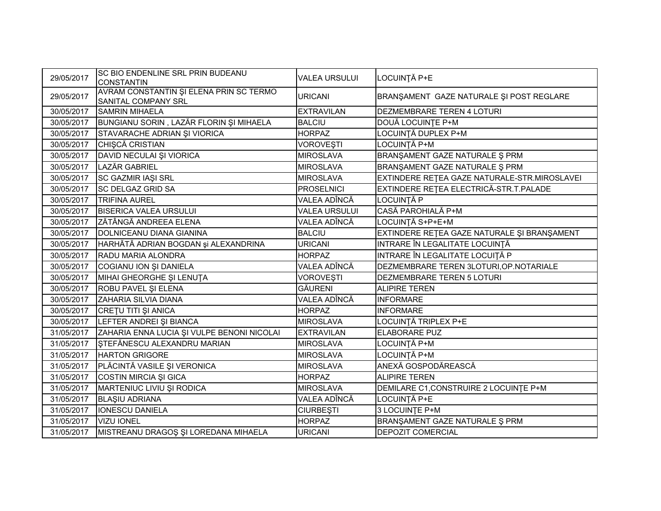| 29/05/2017 | SC BIO ENDENLINE SRL PRIN BUDEANU<br><b>CONSTANTIN</b>         | <b>VALEA URSULUI</b> | LOCUINȚĂ P+E                                 |
|------------|----------------------------------------------------------------|----------------------|----------------------------------------------|
| 29/05/2017 | AVRAM CONSTANTIN ȘI ELENA PRIN SC TERMO<br>SANITAL COMPANY SRL | <b>URICANI</b>       | BRANŞAMENT GAZE NATURALE ŞI POST REGLARE     |
| 30/05/2017 | <b>SAMRIN MIHAELA</b>                                          | <b>EXTRAVILAN</b>    | DEZMEMBRARE TEREN 4 LOTURI                   |
| 30/05/2017 | BUNGIANU SORIN, LAZĂR FLORIN ȘI MIHAELA                        | <b>BALCIU</b>        | DOUĂ LOCUINȚE P+M                            |
| 30/05/2017 | STAVARACHE ADRIAN ȘI VIORICA                                   | <b>HORPAZ</b>        | LOCUINȚĂ DUPLEX P+M                          |
| 30/05/2017 | CHIȘCĂ CRISTIAN                                                | VOROVEȘTI            | LOCUINȚĂ P+M                                 |
| 30/05/2017 | DAVID NECULAI ȘI VIORICA                                       | <b>MIROSLAVA</b>     | BRANŞAMENT GAZE NATURALE Ş PRM               |
| 30/05/2017 | LAZĂR GABRIEL                                                  | <b>MIROSLAVA</b>     | BRANŞAMENT GAZE NATURALE Ş PRM               |
| 30/05/2017 | SC GAZMIR IAŞI SRL                                             | <b>MIROSLAVA</b>     | EXTINDERE RETEA GAZE NATURALE-STR.MIROSLAVEI |
| 30/05/2017 | <b>SC DELGAZ GRID SA</b>                                       | <b>PROSELNICI</b>    | EXTINDERE REȚEA ELECTRICĂ-STR.T.PALADE       |
| 30/05/2017 | <b>TRIFINA AUREL</b>                                           | VALEA ADÎNCĂ         | <b>LOCUINȚĂ P</b>                            |
| 30/05/2017 | <b>BISERICA VALEA URSULUI</b>                                  | <b>VALEA URSULUI</b> | CASĂ PAROHIALĂ P+M                           |
| 30/05/2017 | ZĂTÂNGĂ ANDREEA ELENA                                          | VALEA ADÎNCĂ         | LOCUINȚĂ S+P+E+M                             |
| 30/05/2017 | <b>DOLNICEANU DIANA GIANINA</b>                                | <b>BALCIU</b>        | EXTINDERE REȚEA GAZE NATURALE ȘI BRANȘAMENT  |
| 30/05/2017 | HARHĂTĂ ADRIAN BOGDAN și ALEXANDRINA                           | <b>URICANI</b>       | INTRARE ÎN LEGALITATE LOCUINȚĂ               |
| 30/05/2017 | <b>RADU MARIA ALONDRA</b>                                      | <b>HORPAZ</b>        | INTRARE ÎN LEGALITATE LOCUIȚĂ P              |
| 30/05/2017 | COGIANU ION ȘI DANIELA                                         | VALEA ADÎNCĂ         | DEZMEMBRARE TEREN 3LOTURI, OP. NOTARIALE     |
| 30/05/2017 | MIHAI GHEORGHE ȘI LENUȚA                                       | <b>VOROVESTI</b>     | DEZMEMBRARE TEREN 5 LOTURI                   |
| 30/05/2017 | ROBU PAVEL ȘI ELENA                                            | <b>GĂURENI</b>       | <b>ALIPIRE TEREN</b>                         |
| 30/05/2017 | ZAHARIA SILVIA DIANA                                           | VALEA ADÎNCĂ         | <b>INFORMARE</b>                             |
| 30/05/2017 | CRETU TITI ȘI ANICA                                            | <b>HORPAZ</b>        | <b>INFORMARE</b>                             |
| 30/05/2017 | LEFTER ANDREI ȘI BIANCA                                        | <b>MIROSLAVA</b>     | LOCUINȚĂ TRIPLEX P+E                         |
| 31/05/2017 | ZAHARIA ENNA LUCIA ȘI VULPE BENONI NICOLAI                     | <b>EXTRAVILAN</b>    | <b>ELABORARE PUZ</b>                         |
| 31/05/2017 | STEFĂNESCU ALEXANDRU MARIAN                                    | <b>MIROSLAVA</b>     | LOCUINȚĂ P+M                                 |
| 31/05/2017 | <b>HARTON GRIGORE</b>                                          | <b>MIROSLAVA</b>     | LOCUINȚĂ P+M                                 |
| 31/05/2017 | PLĂCINTĂ VASILE ȘI VERONICA                                    | <b>MIROSLAVA</b>     | ANEXĂ GOSPODĂREASCĂ                          |
| 31/05/2017 | COSTIN MIRCIA ȘI GICA                                          | <b>HORPAZ</b>        | <b>ALIPIRE TEREN</b>                         |
| 31/05/2017 | MARTENIUC LIVIU ȘI RODICA                                      | <b>MIROSLAVA</b>     | DEMILARE C1, CONSTRUIRE 2 LOCUINTE P+M       |
| 31/05/2017 | <b>BLAŞIU ADRIANA</b>                                          | VALEA ADÎNCĂ         | LOCUINȚĂ P+E                                 |
| 31/05/2017 | <b>IONESCU DANIELA</b>                                         | <b>CIURBEȘTI</b>     | 3 LOCUINTE P+M                               |
| 31/05/2017 | <b>VIZU IONEL</b>                                              | <b>HORPAZ</b>        | BRANŞAMENT GAZE NATURALE Ş PRM               |
| 31/05/2017 | MISTREANU DRAGOȘ ȘI LOREDANA MIHAELA                           | <b>URICANI</b>       | <b>DEPOZIT COMERCIAL</b>                     |